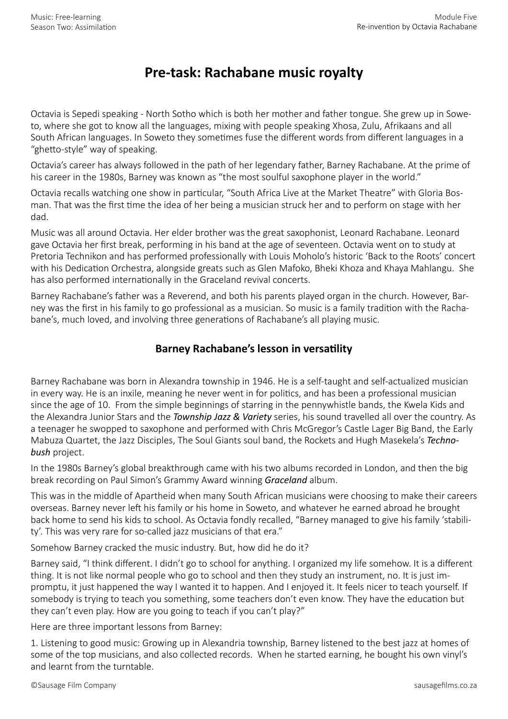## **Pre-task: Rachabane music royalty**

Octavia is Sepedi speaking - North Sotho which is both her mother and father tongue. She grew up in Soweto, where she got to know all the languages, mixing with people speaking Xhosa, Zulu, Afrikaans and all South African languages. In Soweto they sometimes fuse the different words from different languages in a "ghetto-style" way of speaking.

Octavia's career has always followed in the path of her legendary father, Barney Rachabane. At the prime of his career in the 1980s, Barney was known as "the most soulful saxophone player in the world."

Octavia recalls watching one show in particular, "South Africa Live at the Market Theatre" with Gloria Bosman. That was the first time the idea of her being a musician struck her and to perform on stage with her dad.

Music was all around Octavia. Her elder brother was the great saxophonist, Leonard Rachabane. Leonard gave Octavia her first break, performing in his band at the age of seventeen. Octavia went on to study at Pretoria Technikon and has performed professionally with Louis Moholo's historic 'Back to the Roots' concert with his Dedication Orchestra, alongside greats such as Glen Mafoko, Bheki Khoza and Khaya Mahlangu. She has also performed internationally in the Graceland revival concerts.

Barney Rachabane's father was a Reverend, and both his parents played organ in the church. However, Barney was the first in his family to go professional as a musician. So music is a family tradition with the Rachabane's, much loved, and involving three generations of Rachabane's all playing music.

## **Barney Rachabane's lesson in versatility**

Barney Rachabane was born in Alexandra township in 1946. He is a self-taught and self-actualized musician in every way. He is an inxile, meaning he never went in for politics, and has been a professional musician since the age of 10. From the simple beginnings of starring in the pennywhistle bands, the Kwela Kids and the Alexandra Junior Stars and the *Township Jazz & Variety* series, his sound travelled all over the country. As a teenager he swopped to saxophone and performed with Chris McGregor's Castle Lager Big Band, the Early Mabuza Quartet, the Jazz Disciples, The Soul Giants soul band, the Rockets and Hugh Masekela's *Technobush* project.

In the 1980s Barney's global breakthrough came with his two albums recorded in London, and then the big break recording on Paul Simon's Grammy Award winning *Graceland* album.

This was in the middle of Apartheid when many South African musicians were choosing to make their careers overseas. Barney never left his family or his home in Soweto, and whatever he earned abroad he brought back home to send his kids to school. As Octavia fondly recalled, "Barney managed to give his family 'stability'. This was very rare for so-called jazz musicians of that era."

Somehow Barney cracked the music industry. But, how did he do it?

Barney said, "I think different. I didn't go to school for anything. I organized my life somehow. It is a different thing. It is not like normal people who go to school and then they study an instrument, no. It is just impromptu, it just happened the way I wanted it to happen. And I enjoyed it. It feels nicer to teach yourself. If somebody is trying to teach you something, some teachers don't even know. They have the education but they can't even play. How are you going to teach if you can't play?"

Here are three important lessons from Barney:

1. Listening to good music: Growing up in Alexandria township, Barney listened to the best jazz at homes of some of the top musicians, and also collected records. When he started earning, he bought his own vinyl's and learnt from the turntable.